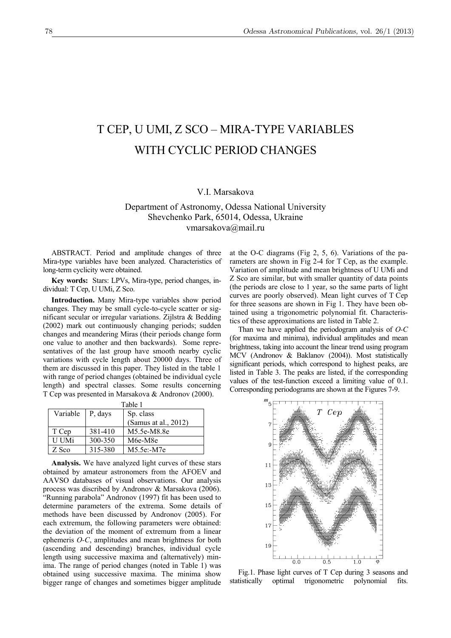## T CEP, U UMI, Z SCO – MIRA-TYPE VARIABLES WITH CYCLIC PERIOD CHANGES

## V.I. Marsakova

## Department of Astronomy, Odessa National University Shevchenko Park, 65014, Odessa, Ukraine [vmarsakova@mail.ru](mailto:vmarsakova@mail.ru)

ABSTRACT. Period and amplitude changes of three Mira-type variables have been analyzed. Characteristics of long-term cyclicity were obtained.

**Key words:** Stars: LPVs, Mira-type, period changes, individual: T Cep, U UMi, Z Sco.

**Introduction.** Many Mira-type variables show period changes. They may be small cycle-to-cycle scatter or significant secular or irregular variations. Zijlstra & Bedding (2002) mark out continuously changing periods; sudden changes and meandering Miras (their periods change form one value to another and then backwards). Some representatives of the last group have smooth nearby cyclic variations with cycle length about 20000 days. Three of them are discussed in this paper. They listed in the table 1 with range of period changes (obtained be individual cycle length) and spectral classes. Some results concerning T Cep was presented in Marsakova & Andronov (2000).

| Table 1                  |         |                      |  |  |  |  |
|--------------------------|---------|----------------------|--|--|--|--|
| Variable $\vert$ P, days |         | Sp. class            |  |  |  |  |
|                          |         | (Samus at al., 2012) |  |  |  |  |
| T Cep                    | 381-410 | M5.5e-M8.8e          |  |  |  |  |
| <b>U</b> UMi             | 300-350 | M6e-M8e              |  |  |  |  |
| Z Sco                    | 315-380 | M5.5e:-M7e           |  |  |  |  |

**Analysis.** We have analyzed light curves of these stars obtained by amateur astronomers from the AFOEV and AAVSO databases of visual observations. Our analysis process was discribed by Andronov & Marsakova (2006). "Running parabola" Andronov (1997) fit has been used to determine parameters of the extrema. Some details of methods have been discussed by Andronov (2005). For each extremum, the following parameters were obtained: the deviation of the moment of extremum from a linear ephemeris *O-C*, amplitudes and mean brightness for both (ascending and descending) branches, individual cycle length using successive maxima and (alternatively) minima. The range of period changes (noted in Table 1) was obtained using successive maxima. The minima show bigger range of changes and sometimes bigger amplitude

at the O-C diagrams (Fig 2, 5, 6). Variations of the parameters are shown in Fig 2-4 for T Cep, as the example. Variation of amplitude and mean brightness of U UMi and Z Sco are similar, but with smaller quantity of data points (the periods are close to 1 year, so the same parts of light curves are poorly observed). Mean light curves of T Cep for three seasons are shown in Fig 1. They have been obtained using a trigonometric polynomial fit. Characteristics of these approximations are listed in Table 2.

Than we have applied the periodogram analysis of *O-C* (for maxima and minima), individual amplitudes and mean brightness, taking into account the linear trend using program MCV (Andronov & Baklanov (2004)). Most statistically significant periods, which correspond to highest peaks, are listed in Table 3. The peaks are listed, if the corresponding values of the test-function exceed a limiting value of 0.1. Corresponding periodograms are shown at the Figures 7-9.



Fig.1. Phase light curves of T Cep during 3 seasons and statistically optimal trigonometric polynomial fits.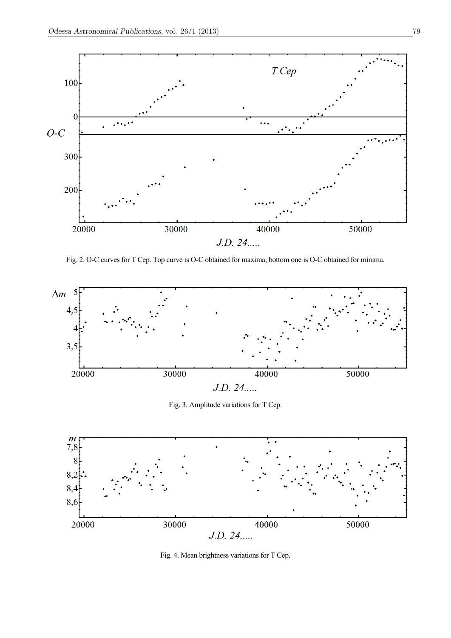

Fig. 2. O-C curves for T Cep. Top curve is O-C obtained for maxima, bottom one is O-C obtained for minima.



Fig. 3. Amplitude variations for T Cep.



Fig. 4. Mean brightness variations for T Cep.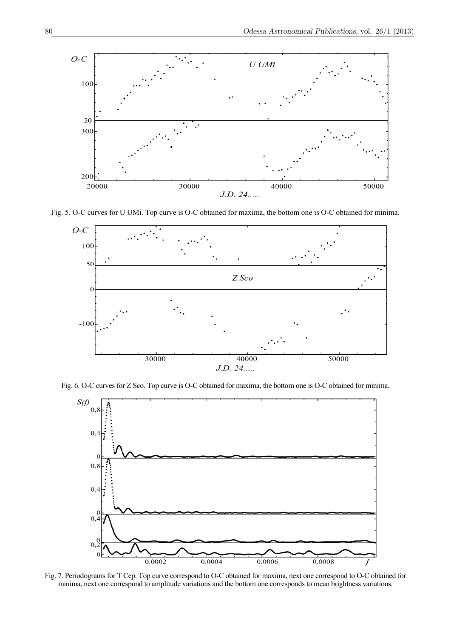

Fig. 5. O-C curves for U UMi. Top curve is O-C obtained for maxima, the bottom one is O-C obtained for minima.



Fig. 6. O-C curves for Z Sco. Top curve is O-C obtained for maxima, the bottom one is O-C obtained for minima.



Fig. 7. Periodograms for T Cep. Top curve correspond to O-C obtained for maxima, next one correspond to O-C obtained for minima, next one correspond to amplitude variations and the bottom one corresponds to mean brightness variations.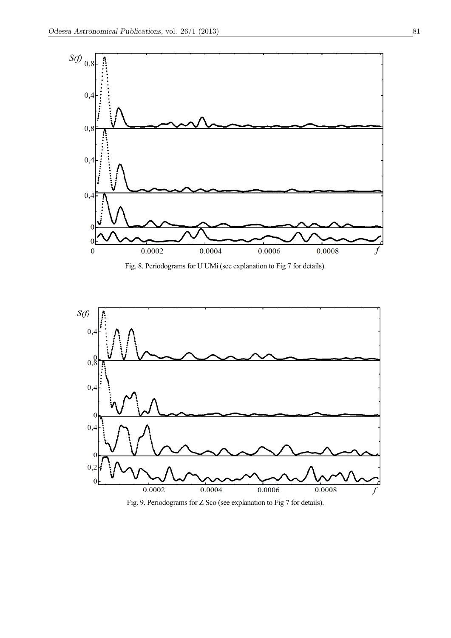

Fig. 8. Periodograms for U UMi (see explanation to Fig 7 for details).